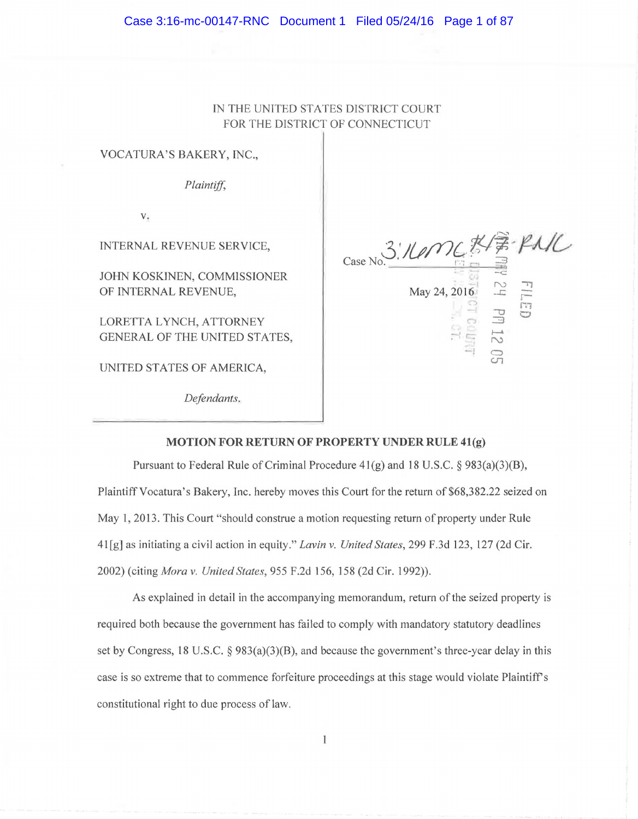## IN THE UNITED STATES DISTRICT COURT FOR THE DISTRICT OF CONNECTICUT

VOCATURA'S BAKERY, INC.,

 $Plaintiff$ ,

v.

INTERNAL REVENUE SERVICE,

JOHN KOSKINEN, COMMISSIONER OF INTERNAL REVENUE, May 24, 2016

LORETTA LYNCH, ATTORNEY GENERAL OF THE UNITED STATES,

UNITED STATES OF AMERICA,

*Defendants.* 

.. **'c=**  9 큰<br>♡ 고  $\frac{1}{4}$  **F f--4**  N  $\subset$  $\cup$ 

## **MOTION FOR RETURN OF PROPERTY UNDER RULE 41(g)**

Pursuant to Federal Rule of Criminal Procedure  $41(g)$  and 18 U.S.C. § 983(a)(3)(B), Plaintiff Vocatura's Bakery, Inc. hereby moves this Court for the return of \$68,382.22 seized on May 1, 2013. This Court "should construe a motion requesting return of property under Rule 41 [g] as initiating a civil action in equity." *Lavin v. United States,* 299 F.3d 123, 127 (2d Cir. 2002) (citing *Mora v. United States,* 955 F.2d 156, 158 (2d Cir. 1992)).

As explained in detail in the accompanying memorandum, return of the seized property is required both because the government has failed to comply with mandatory statutory deadlines set by Congress, 18 U.S.C.  $\S 983(a)(3)(B)$ , and because the government's three-year delay in this case is so extreme that to commence forfeiture proceedings at this stage would violate Plaintiff's constitutional right to due process of law.